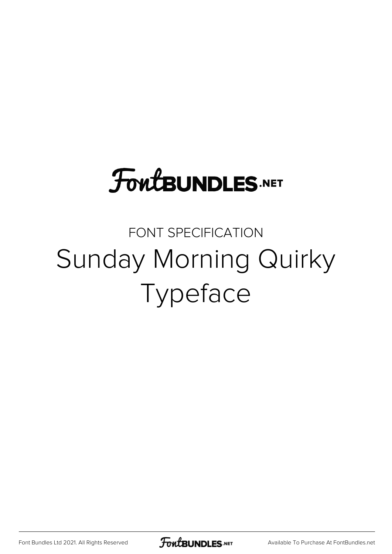# **FoutBUNDLES.NET**

## FONT SPECIFICATION Sunday Morning Quirky Typeface

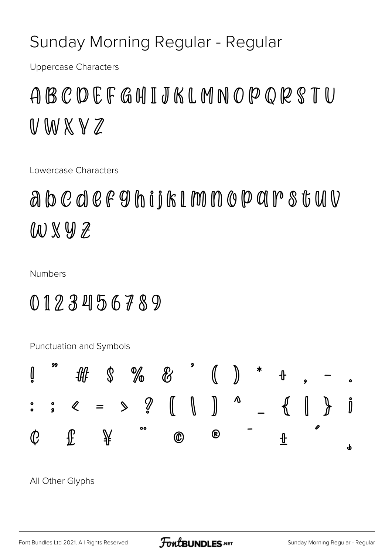#### Sunday Morning Regular - Regular

**Uppercase Characters** 

### ABCDEFGHIJKLMNOPQRSTU  $WWXYZ$

Lowercase Characters

abcdef9hijk1mnoparstuV W X Y Z

**Numbers** 

### 0123456789

Punctuation and Symbols



All Other Glyphs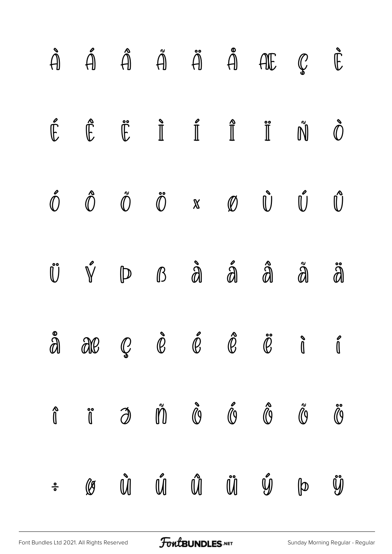|               |            |         |  | $\begin{array}{ccccccccccccccccc} \hat{A} & \hat{A} & \hat{A} & \hat{A} & \hat{A} & \hat{A} & \hat{A} & \hat{A} & \hat{E} & \hat{E} & \end{array}$                                                                                                                                                                                       |              |                |
|---------------|------------|---------|--|------------------------------------------------------------------------------------------------------------------------------------------------------------------------------------------------------------------------------------------------------------------------------------------------------------------------------------------|--------------|----------------|
|               |            |         |  | $\begin{array}{ccccccccccccccccc} \hat{\mathbb{E}} & \hat{\mathbb{E}} & \hat{\mathbb{E}} & \hat{\mathbb{I}} & \hat{\mathbb{I}} & \hat{\mathbb{I}} & \hat{\mathbb{I}} & \hat{\mathbb{I}} & \hat{\mathbb{I}} & \hat{\mathbb{N}} & \hat{\mathbb{O}} \end{array}$                                                                            |              |                |
|               |            |         |  | $\begin{array}{ccccccccccccc} \hat{\mathbb{O}} & \hat{\mathbb{O}} & \hat{\mathbb{O}} & \hat{\mathbb{O}} & \mathbb{N} & \mathbb{O} & \mathbb{O} & \mathbb{O} & \hat{\mathbb{O}} & \mathbb{O} \end{array}$                                                                                                                                 |              |                |
|               |            |         |  | $\mathring{\mathbb{U}}\quad\mathring{\mathbb{V}}\quad\mathring{\mathbb{D}}\quad\mathring{\mathbb{B}}\quad\mathring{\mathring{\mathbf{d}}} \quad\mathring{\mathring{\mathbf{d}}} \quad\mathring{\mathring{\mathbf{d}}} \quad\mathring{\mathring{\mathbf{d}}} \quad\mathring{\mathring{\mathbf{d}}} \quad\mathring{\mathring{\mathbf{d}}}$ |              |                |
|               |            |         |  | $\mathring{a}$ are $\mathring{\varrho}$ $\mathring{\varrho}$ $\mathring{\varrho}$ $\mathring{\varrho}$ $\mathring{\varrho}$ i                                                                                                                                                                                                            |              |                |
|               |            |         |  | î ji di vi vê li vê li vi                                                                                                                                                                                                                                                                                                                |              |                |
| $\frac{0}{0}$ | $\bigcirc$ | Ù Ú Ű Ű |  | $\mathring{y}$                                                                                                                                                                                                                                                                                                                           | $\mathbb{P}$ | $\mathring{y}$ |

[Font Bundles Ltd 2021. All Rights Reserved](https://fontbundles.net/) **FoutBUNDLES.NET** [Sunday Morning Regular - Regular](https://fontbundles.net/) Sunday Morning Regular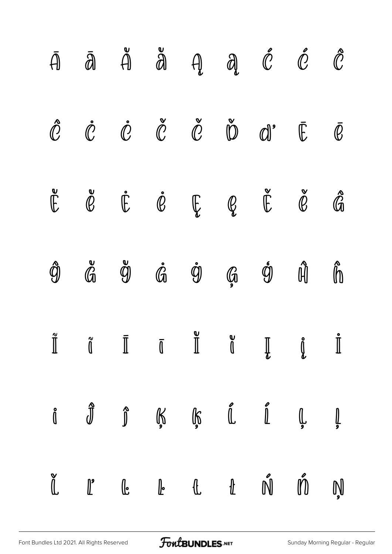|                |                                                                                                                                                                    |  | $\bar{A}$ $\bar{A}$ $\ddot{A}$ $\ddot{A}$ $\ddot{A}$ $\ddot{C}$ $\ddot{C}$                                                                                                                                                                                                                                                                                                                                                                                                                                                                    |                    |                    |
|----------------|--------------------------------------------------------------------------------------------------------------------------------------------------------------------|--|-----------------------------------------------------------------------------------------------------------------------------------------------------------------------------------------------------------------------------------------------------------------------------------------------------------------------------------------------------------------------------------------------------------------------------------------------------------------------------------------------------------------------------------------------|--------------------|--------------------|
|                |                                                                                                                                                                    |  | $\mathring{\mathcal{C}}$ $\mathring{\mathcal{C}}$ $\mathring{\mathcal{C}}$ $\mathring{\mathcal{C}}$ $\mathring{\mathcal{C}}$ $\mathring{\mathcal{C}}$ $\mathring{\mathcal{C}}$ $\mathring{\mathcal{C}}$ $\mathring{\mathcal{C}}$ $\mathring{\mathcal{C}}$                                                                                                                                                                                                                                                                                     |                    |                    |
|                |                                                                                                                                                                    |  | $\begin{array}{cccccccccccccc} \mathbb{E} & \mathbb{C} & \mathbb{C} & \mathbb{C} & \mathbb{C} & \mathbb{C} & \mathbb{C} & \mathbb{C} & \mathbb{C} & \mathbb{C} & \mathbb{C} & \mathbb{C} & \mathbb{C} \end{array}$                                                                                                                                                                                                                                                                                                                            |                    |                    |
| ĝ              |                                                                                                                                                                    |  | $\mathring{\mathbb{G}}$ $\mathring{\mathbb{G}}$ $\mathring{\mathbb{G}}$ $\mathring{\mathbb{G}}$ $\mathring{\mathbb{G}}$ $\mathring{\mathbb{G}}$                                                                                                                                                                                                                                                                                                                                                                                               | $\hat{\mathbb{H}}$ | $\hat{\mathbb{D}}$ |
| $\prod^\infty$ |                                                                                                                                                                    |  | $\begin{array}{ccc}\n\tilde{\mathbb{I}} & \tilde{\mathbb{I}} & \mathbb{I} & \mathbb{I} & \mathbb{I} & \mathbb{I} & \mathbb{I} & \mathbb{I} & \mathbb{I} & \mathbb{I} & \mathbb{I} & \mathbb{I} & \mathbb{I} & \mathbb{I} & \mathbb{I} & \mathbb{I} & \mathbb{I} & \mathbb{I} & \mathbb{I} & \mathbb{I} & \mathbb{I} & \mathbb{I} & \mathbb{I} & \mathbb{I} & \mathbb{I} & \mathbb{I} & \mathbb{I} & \mathbb{I} & \mathbb{I} & \mathbb$                                                                                                        |                    |                    |
|                |                                                                                                                                                                    |  | $\begin{array}{cccccccccccccc} \mathring{\mathfrak{g}} & & \mathring{\mathfrak{g}} & & \mathring{\mathfrak{g}} & & \mathring{\mathfrak{g}} & & \mathring{\mathfrak{g}} & & \mathring{\mathfrak{g}} & & \mathring{\mathfrak{g}} & & \mathring{\mathfrak{g}} & & \mathring{\mathfrak{g}} & & \mathring{\mathfrak{g}} & & \mathring{\mathfrak{g}} & & \mathring{\mathfrak{g}} & & \mathring{\mathfrak{g}} & & \mathring{\mathfrak{g}} & & \mathring{\mathfrak{g}} & & \mathring{\mathfrak{g}} & & \mathring{\mathfrak{g}} & & \mathring{\mathfr$ |                    |                    |
|                | $\begin{array}{ccc} \mathbb{C} & & \mathbb{L} & \mathbb{C} & \mathbb{C} & \mathbb{C} & \mathbb{C} & \mathbb{C} & \mathbb{C} & \mathbb{C} & \mathbb{C} \end{array}$ |  |                                                                                                                                                                                                                                                                                                                                                                                                                                                                                                                                               | Ń ń                | Ņ                  |

[Font Bundles Ltd 2021. All Rights Reserved](https://fontbundles.net/) **FoutBUNDLES.NET** [Sunday Morning Regular - Regular](https://fontbundles.net/) Sunday Morning Regular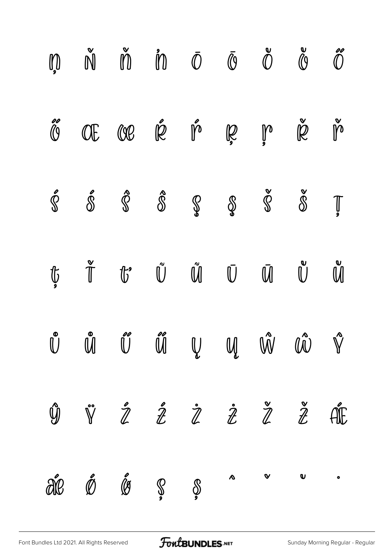|                               |                         | $\begin{matrix} \mathbb{D} & \check{\mathbb{N}} & \check{\mathbb{D}} & \check{\mathbb{D}} & \check{\mathbb{D}} & \check{\mathbb{O}} & \check{\mathbb{O}} & \check{\mathbb{O}} \end{matrix}$                                                                                                                                                                                             |                                                                                                            |                                                                                                                |                         | $\overset{\mathtt{e}}{\mathcal{C}}$ | $\overset{\circ}{0}$                                                                                                                                                                                                                                                                                                                                                                                                                                |
|-------------------------------|-------------------------|-----------------------------------------------------------------------------------------------------------------------------------------------------------------------------------------------------------------------------------------------------------------------------------------------------------------------------------------------------------------------------------------|------------------------------------------------------------------------------------------------------------|----------------------------------------------------------------------------------------------------------------|-------------------------|-------------------------------------|-----------------------------------------------------------------------------------------------------------------------------------------------------------------------------------------------------------------------------------------------------------------------------------------------------------------------------------------------------------------------------------------------------------------------------------------------------|
| $\overset{\circ}{\mathbb{O}}$ |                         | Œœæë r <sup>o</sup> ge p                                                                                                                                                                                                                                                                                                                                                                |                                                                                                            |                                                                                                                |                         | $\check{\cancel{R}}$                | $\overset{\mathtt{v}}{\mathfrak{h}}$                                                                                                                                                                                                                                                                                                                                                                                                                |
| $\mathring{\mathbb{S}}$       | $\hat{\mathbb{S}}$      | $\hat{\mathbb{S}}$ $\hat{\mathbb{S}}$                                                                                                                                                                                                                                                                                                                                                   | $\begin{matrix} \mathbb{S} & \mathbb{S} & \mathbb{S} \\ \mathbb{S} & \mathbb{S} & \mathbb{S} \end{matrix}$ |                                                                                                                |                         | $\overset{\circ}{\mathbb{S}}$       | $\prod_{\mathbf{S}}% {\color[rgb]{0.8,0.3,0} (\mathbf{S}_0, \mathbf{S}_1, \mathbf{S}_2, \mathbf{S}_2, \mathbf{S}_3)}} \prod_{i=1}^{N} \delta_i \left( \mathbf{S}_i \right) \prod_{i=1}^{N} \delta_i \left( \mathbf{S}_i \right) \prod_{i=1}^{N} \delta_i \left( \mathbf{S}_i \right) \prod_{i=1}^{N} \delta_i \left( \mathbf{S}_i \right) \prod_{i=1}^{N} \delta_i \left( \mathbf{S}_i \right) \prod_{i=1}^{N} \delta_i \left( \mathbf{S}_i \right$ |
| $\mathbf{\Phi}$               | $\mathring{\mathbb{T}}$ | $\mathbb{G}^{\bullet}$ $\overset{\circ}{\mathbb{U}}$                                                                                                                                                                                                                                                                                                                                    |                                                                                                            | $\tilde{\mathbb{U}}\qquad \qquad \bar{\mathbb{U}}\qquad \qquad \bar{\mathbb{U}}\qquad \qquad \bar{\mathbb{U}}$ |                         | $\mathbb{\tilde{U}}$                | $\mathring{\mathbb{U}}$                                                                                                                                                                                                                                                                                                                                                                                                                             |
|                               |                         | $\stackrel{\circ}{\mathbb{U}}\quad \stackrel{\circ}{\mathbb{U}}\quad \stackrel{\circ}{\mathbb{U}}\quad \stackrel{\circ}{\mathbb{U}}\quad \stackrel{\circ}{\mathbb{U}}\quad \stackrel{\circ}{\mathbb{U}}\quad \stackrel{\circ}{\mathbb{U}}\quad \stackrel{\circ}{\mathbb{W}}\quad \stackrel{\circ}{\mathbb{W}}\quad \stackrel{\circ}{\mathbb{W}}\quad \stackrel{\circ}{\mathbb{V}}\quad$ |                                                                                                            |                                                                                                                |                         |                                     |                                                                                                                                                                                                                                                                                                                                                                                                                                                     |
|                               |                         | $\begin{array}{ccccccccccccccccc} \mathbb{Y} & \mathbb{Y} & \mathbb{Z} & \mathbb{Z} & \mathbb{Z} & \mathbb{Z} & \mathbb{Z} & \mathbb{Z} & \mathbb{Z} & \mathbb{E} \end{array}$                                                                                                                                                                                                          |                                                                                                            |                                                                                                                |                         |                                     |                                                                                                                                                                                                                                                                                                                                                                                                                                                     |
|                               |                         | are ó le s                                                                                                                                                                                                                                                                                                                                                                              | $\circledS$                                                                                                | $\delta$                                                                                                       | $\mathbb V$ $\mathbb U$ |                                     | $\bullet$                                                                                                                                                                                                                                                                                                                                                                                                                                           |

FontBUNDLES.NET